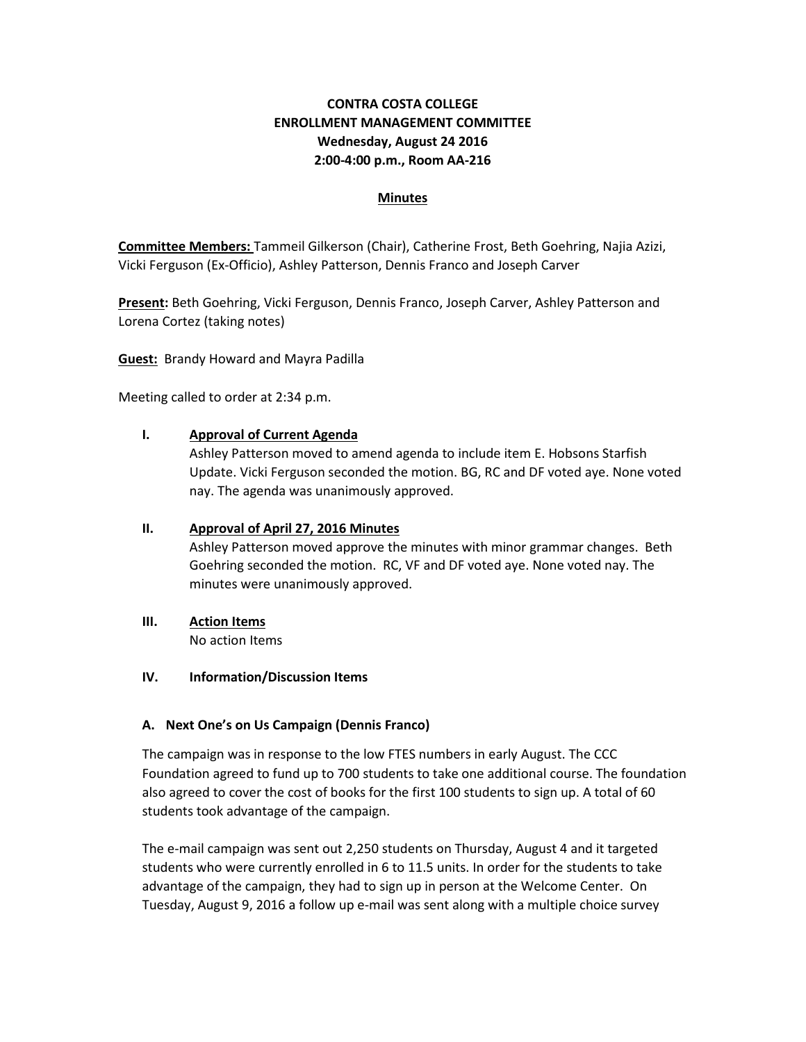# **CONTRA COSTA COLLEGE ENROLLMENT MANAGEMENT COMMITTEE Wednesday, August 24 2016 2:00-4:00 p.m., Room AA-216**

#### **Minutes**

**Committee Members:** Tammeil Gilkerson (Chair), Catherine Frost, Beth Goehring, Najia Azizi, Vicki Ferguson (Ex-Officio), Ashley Patterson, Dennis Franco and Joseph Carver

**Present:** Beth Goehring, Vicki Ferguson, Dennis Franco, Joseph Carver, Ashley Patterson and Lorena Cortez (taking notes)

**Guest:** Brandy Howard and Mayra Padilla

Meeting called to order at 2:34 p.m.

### **I. Approval of Current Agenda**

Ashley Patterson moved to amend agenda to include item E. Hobsons Starfish Update. Vicki Ferguson seconded the motion. BG, RC and DF voted aye. None voted nay. The agenda was unanimously approved.

#### **II. Approval of April 27, 2016 Minutes**

Ashley Patterson moved approve the minutes with minor grammar changes. Beth Goehring seconded the motion. RC, VF and DF voted aye. None voted nay. The minutes were unanimously approved.

### **III. Action Items**

No action Items

### **IV. Information/Discussion Items**

### **A. Next One's on Us Campaign (Dennis Franco)**

The campaign was in response to the low FTES numbers in early August. The CCC Foundation agreed to fund up to 700 students to take one additional course. The foundation also agreed to cover the cost of books for the first 100 students to sign up. A total of 60 students took advantage of the campaign.

The e-mail campaign was sent out 2,250 students on Thursday, August 4 and it targeted students who were currently enrolled in 6 to 11.5 units. In order for the students to take advantage of the campaign, they had to sign up in person at the Welcome Center. On Tuesday, August 9, 2016 a follow up e-mail was sent along with a multiple choice survey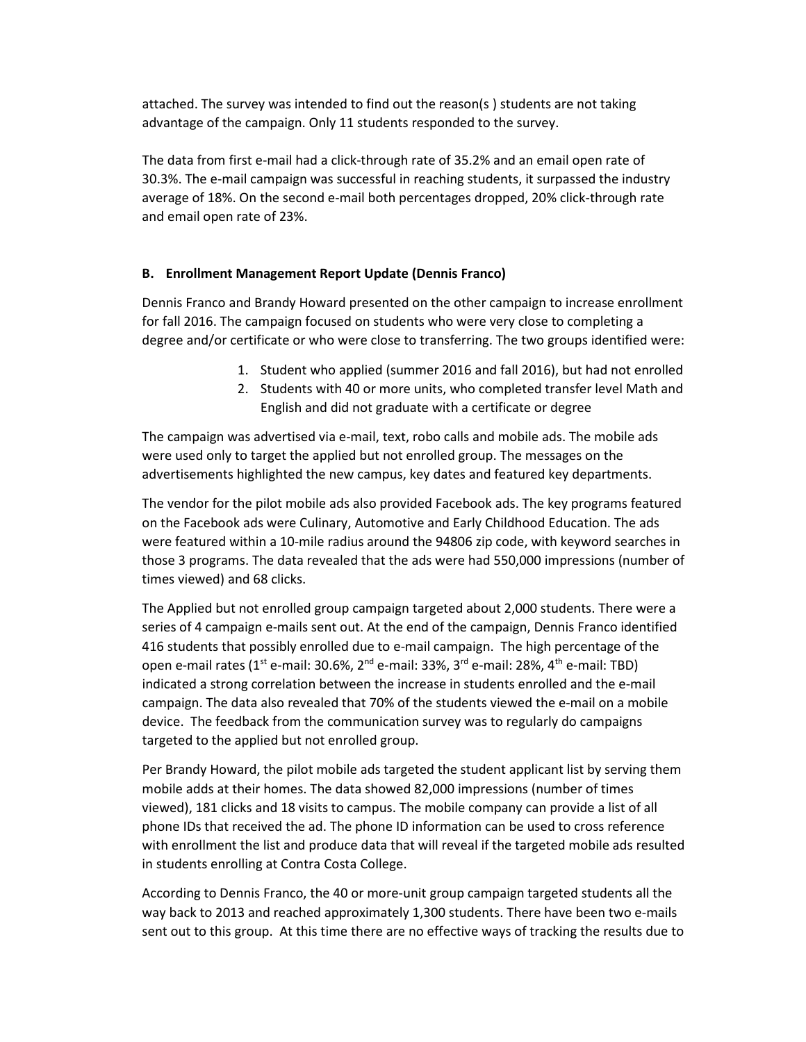attached. The survey was intended to find out the reason(s ) students are not taking advantage of the campaign. Only 11 students responded to the survey.

The data from first e-mail had a click-through rate of 35.2% and an email open rate of 30.3%. The e-mail campaign was successful in reaching students, it surpassed the industry average of 18%. On the second e-mail both percentages dropped, 20% click-through rate and email open rate of 23%.

### **B. Enrollment Management Report Update (Dennis Franco)**

Dennis Franco and Brandy Howard presented on the other campaign to increase enrollment for fall 2016. The campaign focused on students who were very close to completing a degree and/or certificate or who were close to transferring. The two groups identified were:

- 1. Student who applied (summer 2016 and fall 2016), but had not enrolled
- 2. Students with 40 or more units, who completed transfer level Math and English and did not graduate with a certificate or degree

The campaign was advertised via e-mail, text, robo calls and mobile ads. The mobile ads were used only to target the applied but not enrolled group. The messages on the advertisements highlighted the new campus, key dates and featured key departments.

The vendor for the pilot mobile ads also provided Facebook ads. The key programs featured on the Facebook ads were Culinary, Automotive and Early Childhood Education. The ads were featured within a 10-mile radius around the 94806 zip code, with keyword searches in those 3 programs. The data revealed that the ads were had 550,000 impressions (number of times viewed) and 68 clicks.

The Applied but not enrolled group campaign targeted about 2,000 students. There were a series of 4 campaign e-mails sent out. At the end of the campaign, Dennis Franco identified 416 students that possibly enrolled due to e-mail campaign. The high percentage of the open e-mail rates ( $1^{st}$  e-mail: 30.6%,  $2^{nd}$  e-mail: 33%,  $3^{rd}$  e-mail: 28%,  $4^{th}$  e-mail: TBD) indicated a strong correlation between the increase in students enrolled and the e-mail campaign. The data also revealed that 70% of the students viewed the e-mail on a mobile device. The feedback from the communication survey was to regularly do campaigns targeted to the applied but not enrolled group.

Per Brandy Howard, the pilot mobile ads targeted the student applicant list by serving them mobile adds at their homes. The data showed 82,000 impressions (number of times viewed), 181 clicks and 18 visits to campus. The mobile company can provide a list of all phone IDs that received the ad. The phone ID information can be used to cross reference with enrollment the list and produce data that will reveal if the targeted mobile ads resulted in students enrolling at Contra Costa College.

According to Dennis Franco, the 40 or more-unit group campaign targeted students all the way back to 2013 and reached approximately 1,300 students. There have been two e-mails sent out to this group. At this time there are no effective ways of tracking the results due to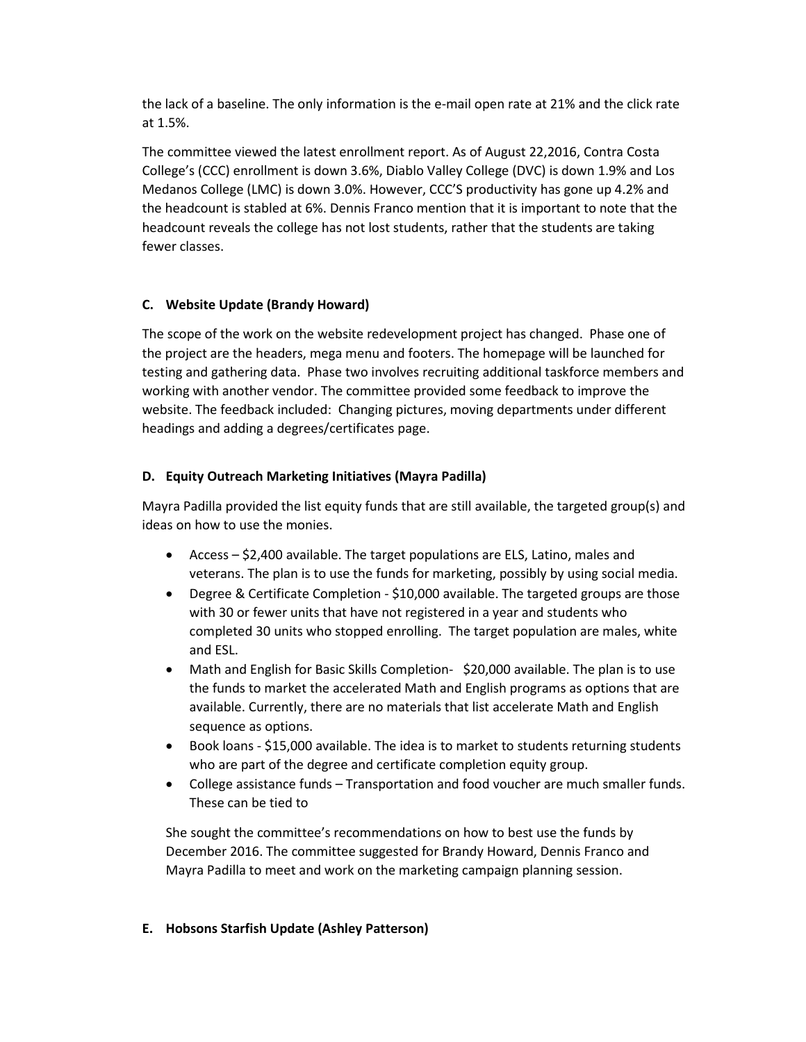the lack of a baseline. The only information is the e-mail open rate at 21% and the click rate at 1.5%.

The committee viewed the latest enrollment report. As of August 22,2016, Contra Costa College's (CCC) enrollment is down 3.6%, Diablo Valley College (DVC) is down 1.9% and Los Medanos College (LMC) is down 3.0%. However, CCC'S productivity has gone up 4.2% and the headcount is stabled at 6%. Dennis Franco mention that it is important to note that the headcount reveals the college has not lost students, rather that the students are taking fewer classes.

# **C. Website Update (Brandy Howard)**

The scope of the work on the website redevelopment project has changed. Phase one of the project are the headers, mega menu and footers. The homepage will be launched for testing and gathering data. Phase two involves recruiting additional taskforce members and working with another vendor. The committee provided some feedback to improve the website. The feedback included: Changing pictures, moving departments under different headings and adding a degrees/certificates page.

### **D. Equity Outreach Marketing Initiatives (Mayra Padilla)**

Mayra Padilla provided the list equity funds that are still available, the targeted group(s) and ideas on how to use the monies.

- Access \$2,400 available. The target populations are ELS, Latino, males and veterans. The plan is to use the funds for marketing, possibly by using social media.
- Degree & Certificate Completion \$10,000 available. The targeted groups are those with 30 or fewer units that have not registered in a year and students who completed 30 units who stopped enrolling. The target population are males, white and ESL.
- Math and English for Basic Skills Completion- \$20,000 available. The plan is to use the funds to market the accelerated Math and English programs as options that are available. Currently, there are no materials that list accelerate Math and English sequence as options.
- Book loans \$15,000 available. The idea is to market to students returning students who are part of the degree and certificate completion equity group.
- College assistance funds Transportation and food voucher are much smaller funds. These can be tied to

She sought the committee's recommendations on how to best use the funds by December 2016. The committee suggested for Brandy Howard, Dennis Franco and Mayra Padilla to meet and work on the marketing campaign planning session.

# **E. Hobsons Starfish Update (Ashley Patterson)**